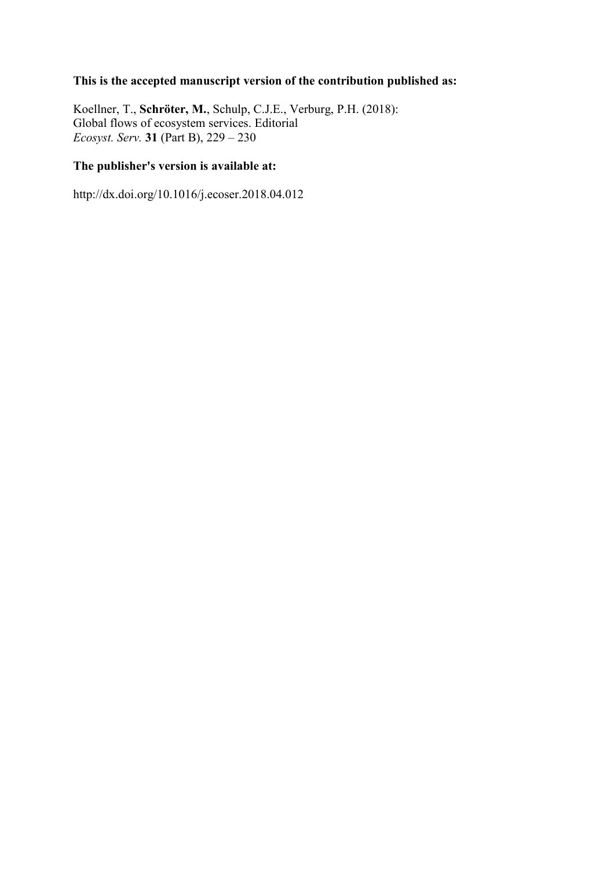## **This is the accepted manuscript version of the contribution published as:**

Koellner, T., **Schröter, M.**, Schulp, C.J.E., Verburg, P.H. (2018): Global flows of ecosystem services. Editorial *Ecosyst. Serv.* **31** (Part B), 229 – 230

## **The publisher's version is available at:**

http://dx.doi.org/10.1016/j.ecoser.2018.04.012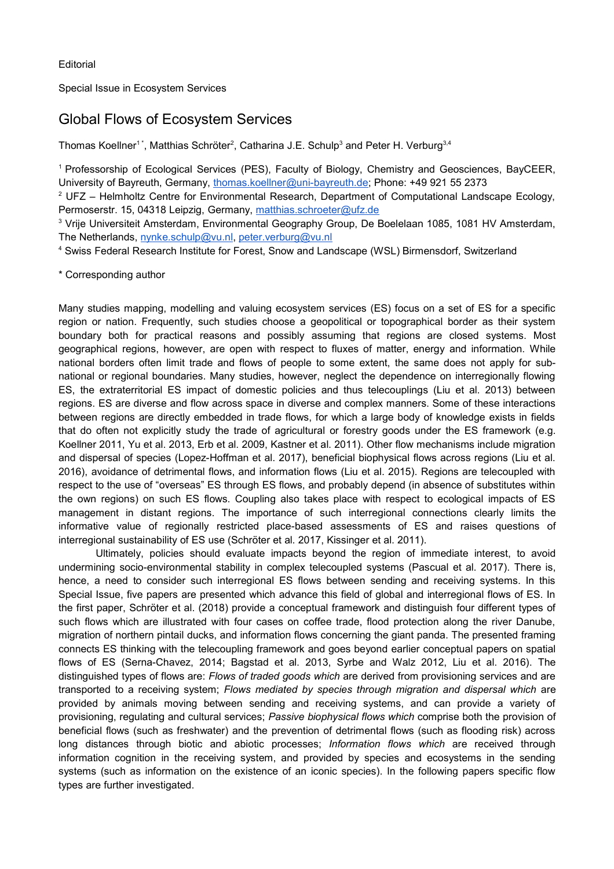Special Issue in Ecosystem Services

## Global Flows of Ecosystem Services

Thomas Koellner $^{\text{1+}},$  Matthias Schröter $^{\text{2}},$  Catharina J.E. Schulp $^{\text{3}}$  and Peter H. Verburg $^{\text{3,4}}$ 

<sup>1</sup>Professorship of Ecological Services (PES), Faculty of Biology, Chemistry and Geosciences, BayCEER, University of Bayreuth, Germany, thomas.koellner@uni-bayreuth.de; Phone: +49 921 55 2373

 $^{\text{2}}$  UFZ – Helmholtz Centre for Environmental Research, Department of Computational Landscape Ecology, Permoserstr. 15, 04318 Leipzig, Germany, matthias.schroeter@ufz.de

 $\,3$  Vrije Universiteit Amsterdam, Environmental Geography Group, De Boelelaan 1085, 1081 HV Amsterdam, The Netherlands, nynke.schulp@vu.nl, peter.verburg@vu.nl

4 Swiss Federal Research Institute for Forest, Snow and Landscape (WSL) Birmensdorf, Switzerland

\* Corresponding author

Many studies mapping, modelling and valuing ecosystem services (ES) focus on a set of ES for a specific region or nation. Frequently, such studies choose a geopolitical or topographical border as their system boundary both for practical reasons and possibly assuming that regions are closed systems. Most geographical regions, however, are open with respect to fluxes of matter, energy and information. While national borders often limit trade and flows of people to some extent, the same does not apply for subnational or regional boundaries. Many studies, however, neglect the dependence on interregionally flowing ES, the extraterritorial ES impact of domestic policies and thus telecouplings (Liu et al. 2013) between regions. ES are diverse and flow across space in diverse and complex manners. Some of these interactions between regions are directly embedded in trade flows, for which a large body of knowledge exists in fields that do often not explicitly study the trade of agricultural or forestry goods under the ES framework (e.g. Koellner 2011, Yu et al. 2013, Erb et al. 2009, Kastner et al. 2011). Other flow mechanisms include migration and dispersal of species (Lopez-Hoffman et al. 2017), beneficial biophysical flows across regions (Liu et al. 2016), avoidance of detrimental flows, and information flows (Liu et al. 2015). Regions are telecoupled with respect to the use of "overseas" ES through ES flows, and probably depend (in absence of substitutes within the own regions) on such ES flows. Coupling also takes place with respect to ecological impacts of ES management in distant regions. The importance of such interregional connections clearly limits the informative value of regionally restricted place-based assessments of ES and raises questions of interregional sustainability of ES use (Schröter et al. 2017, Kissinger et al. 2011).

Ultimately, policies should evaluate impacts beyond the region of immediate interest, to avoid undermining socio-environmental stability in complex telecoupled systems (Pascual et al. 2017). There is, hence, a need to consider such interregional ES flows between sending and receiving systems. In this Special Issue, five papers are presented which advance this field of global and interregional flows of ES. In the first paper, Schröter et al. (2018) provide a conceptual framework and distinguish four different types of such flows which are illustrated with four cases on coffee trade, flood protection along the river Danube, migration of northern pintail ducks, and information flows concerning the giant panda. The presented framing connects ES thinking with the telecoupling framework and goes beyond earlier conceptual papers on spatial flows of ES (Serna-Chavez, 2014; Bagstad et al. 2013, Syrbe and Walz 2012, Liu et al. 2016). The distinguished types of flows are: *Flows of traded goods which* are derived from provisioning services and are transported to a receiving system; *Flows mediated by species through migration and dispersal which* are provided by animals moving between sending and receiving systems, and can provide a variety of provisioning, regulating and cultural services; *Passive biophysical flows which* comprise both the provision of beneficial flows (such as freshwater) and the prevention of detrimental flows (such as flooding risk) across long distances through biotic and abiotic processes; *Information flows which* are received through information cognition in the receiving system, and provided by species and ecosystems in the sending systems (such as information on the existence of an iconic species). In the following papers specific flow types are further investigated.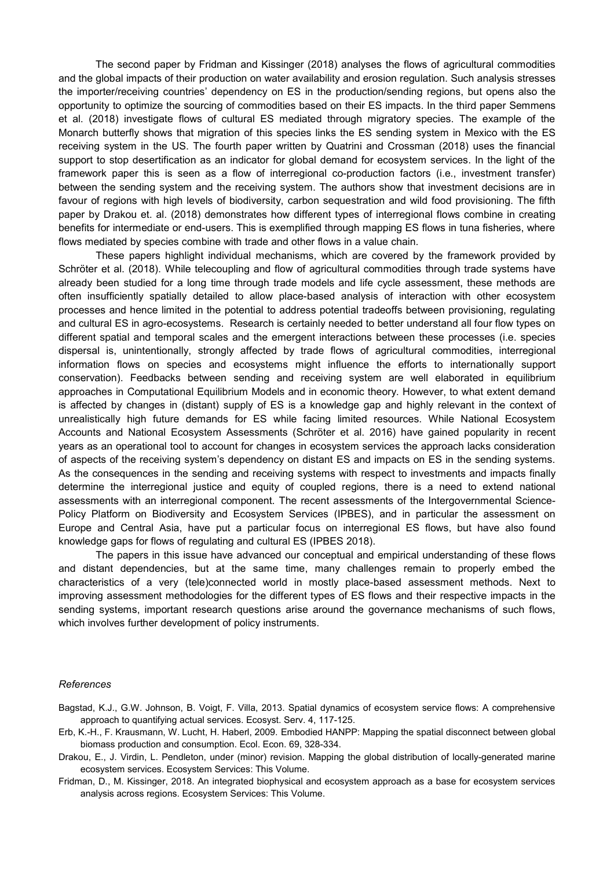The second paper by Fridman and Kissinger (2018) analyses the flows of agricultural commodities and the global impacts of their production on water availability and erosion regulation. Such analysis stresses the importer/receiving countries' dependency on ES in the production/sending regions, but opens also the opportunity to optimize the sourcing of commodities based on their ES impacts. In the third paper Semmens et al. (2018) investigate flows of cultural ES mediated through migratory species. The example of the Monarch butterfly shows that migration of this species links the ES sending system in Mexico with the ES receiving system in the US. The fourth paper written by Quatrini and Crossman (2018) uses the financial support to stop desertification as an indicator for global demand for ecosystem services. In the light of the framework paper this is seen as a flow of interregional co-production factors (i.e., investment transfer) between the sending system and the receiving system. The authors show that investment decisions are in favour of regions with high levels of biodiversity, carbon sequestration and wild food provisioning. The fifth paper by Drakou et. al. (2018) demonstrates how different types of interregional flows combine in creating benefits for intermediate or end-users. This is exemplified through mapping ES flows in tuna fisheries, where flows mediated by species combine with trade and other flows in a value chain.

These papers highlight individual mechanisms, which are covered by the framework provided by Schröter et al. (2018). While telecoupling and flow of agricultural commodities through trade systems have already been studied for a long time through trade models and life cycle assessment, these methods are often insufficiently spatially detailed to allow place-based analysis of interaction with other ecosystem processes and hence limited in the potential to address potential tradeoffs between provisioning, regulating and cultural ES in agro-ecosystems. Research is certainly needed to better understand all four flow types on different spatial and temporal scales and the emergent interactions between these processes (i.e. species dispersal is, unintentionally, strongly affected by trade flows of agricultural commodities, interregional information flows on species and ecosystems might influence the efforts to internationally support conservation). Feedbacks between sending and receiving system are well elaborated in equilibrium approaches in Computational Equilibrium Models and in economic theory. However, to what extent demand is affected by changes in (distant) supply of ES is a knowledge gap and highly relevant in the context of unrealistically high future demands for ES while facing limited resources. While National Ecosystem Accounts and National Ecosystem Assessments (Schröter et al. 2016) have gained popularity in recent years as an operational tool to account for changes in ecosystem services the approach lacks consideration of aspects of the receiving system's dependency on distant ES and impacts on ES in the sending systems. As the consequences in the sending and receiving systems with respect to investments and impacts finally determine the interregional justice and equity of coupled regions, there is a need to extend national assessments with an interregional component. The recent assessments of the Intergovernmental Science-Policy Platform on Biodiversity and Ecosystem Services (IPBES), and in particular the assessment on Europe and Central Asia, have put a particular focus on interregional ES flows, but have also found knowledge gaps for flows of regulating and cultural ES (IPBES 2018).

The papers in this issue have advanced our conceptual and empirical understanding of these flows and distant dependencies, but at the same time, many challenges remain to properly embed the characteristics of a very (tele)connected world in mostly place-based assessment methods. Next to improving assessment methodologies for the different types of ES flows and their respective impacts in the sending systems, important research questions arise around the governance mechanisms of such flows, which involves further development of policy instruments.

## *References*

- Bagstad, K.J., G.W. Johnson, B. Voigt, F. Villa, 2013. Spatial dynamics of ecosystem service flows: A comprehensive approach to quantifying actual services. Ecosyst. Serv. 4, 117-125.
- Erb, K.-H., F. Krausmann, W. Lucht, H. Haberl, 2009. Embodied HANPP: Mapping the spatial disconnect between global biomass production and consumption. Ecol. Econ. 69, 328-334.
- Drakou, E., J. Virdin, L. Pendleton, under (minor) revision. Mapping the global distribution of locally-generated marine ecosystem services. Ecosystem Services: This Volume.
- Fridman, D., M. Kissinger, 2018. An integrated biophysical and ecosystem approach as a base for ecosystem services analysis across regions. Ecosystem Services: This Volume.